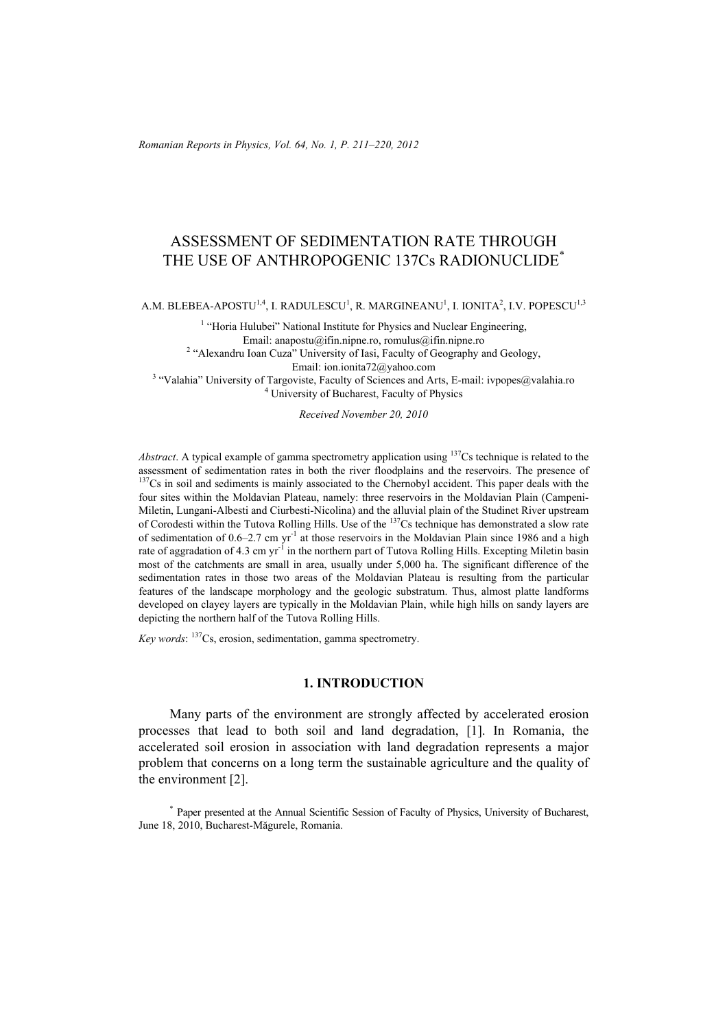*Romanian Reports in Physics, Vol. 64, No. 1, P. 211–220, 2012*

# ASSESSMENT OF SEDIMENTATION RATE THROUGH THE USE OF ANTHROPOGENIC 137Cs RADIONUCLIDE\*

A.M. BLEBEA-APOSTU $^{1,4}$ , I. RADULESCU $^{1}$ , R. MARGINEANU $^{1}$ , I. IONITA $^{2}$ , I.V. POPESCU $^{1,3}$ 

<sup>1</sup> "Horia Hulubei" National Institute for Physics and Nuclear Engineering, Email: anapostu@ifin.nipne.ro, romulus@ifin.nipne.ro<br><sup>2</sup> "Alexandru Ioan Cuza" University of Iasi, Faculty of Geography and Geology, Email: ion.ionita72@yahoo.com<br><sup>3</sup> "Velshis" University of Tergoviste, Feaulty of Seignees and Ar "Valahia" University of Targoviste, Faculty of Sciences and Arts, E-mail: ivpopes@valahia.ro  $4 \text{ University of Dubur of Dubur of Dhuries}$ <sup>4</sup> University of Bucharest, Faculty of Physics

*Received November 20, 2010* 

*Abstract*. A typical example of gamma spectrometry application using <sup>137</sup>Cs technique is related to the assessment of sedimentation rates in both the river floodplains and the reservoirs. The presence of <sup>137</sup>Cs in soil and sediments is mainly associated to the Chernobyl accident. This paper deals with the four sites within the Moldavian Plateau, namely: three reservoirs in the Moldavian Plain (Campeni-Miletin, Lungani-Albesti and Ciurbesti-Nicolina) and the alluvial plain of the Studinet River upstream of Corodesti within the Tutova Rolling Hills. Use of the <sup>137</sup>Cs technique has demonstrated a slow rate of sedimentation of  $0.6-2.7$  cm yr<sup>-1</sup> at those reservoirs in the Moldavian Plain since 1986 and a high rate of aggradation of 4.3 cm yr<sup>-1</sup> in the northern part of Tutova Rolling Hills. Excepting Miletin basin most of the catchments are small in area, usually under 5,000 ha. The significant difference of the sedimentation rates in those two areas of the Moldavian Plateau is resulting from the particular features of the landscape morphology and the geologic substratum. Thus, almost platte landforms developed on clayey layers are typically in the Moldavian Plain, while high hills on sandy layers are depicting the northern half of the Tutova Rolling Hills.

*Key words*: 137Cs, erosion, sedimentation, gamma spectrometry.

#### **1. INTRODUCTION**

Many parts of the environment are strongly affected by accelerated erosion processes that lead to both soil and land degradation, [1]. In Romania, the accelerated soil erosion in association with land degradation represents a major problem that concerns on a long term the sustainable agriculture and the quality of the environment [2].

\* Paper presented at the Annual Scientific Session of Faculty of Physics, University of Bucharest, June 18, 2010, Bucharest-Măgurele, Romania.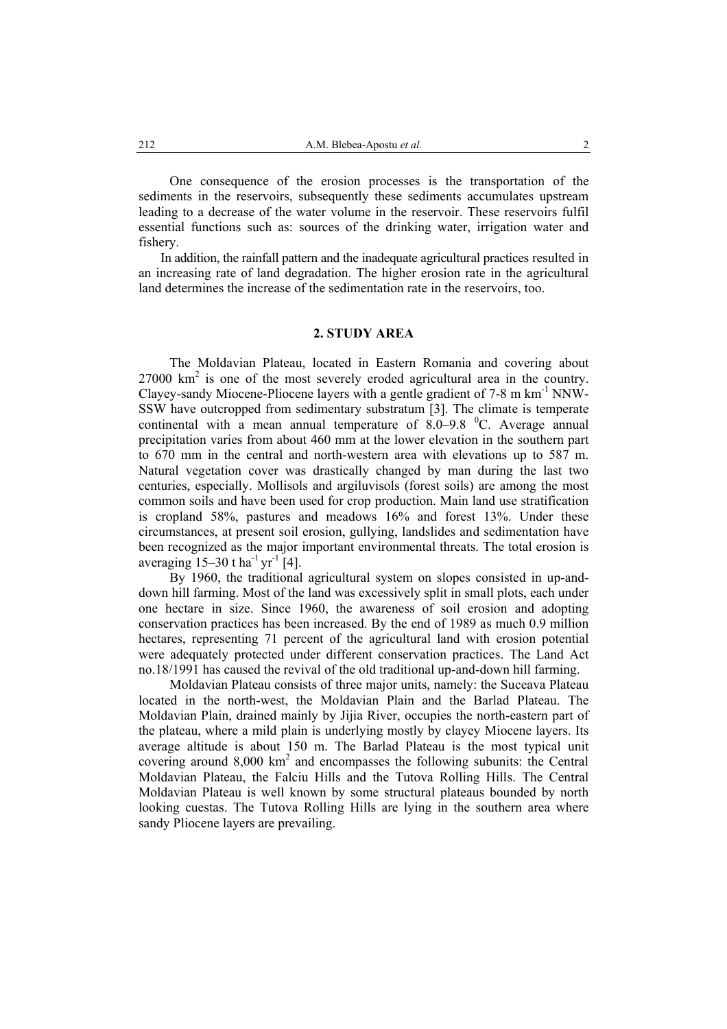One consequence of the erosion processes is the transportation of the sediments in the reservoirs, subsequently these sediments accumulates upstream leading to a decrease of the water volume in the reservoir. These reservoirs fulfil essential functions such as: sources of the drinking water, irrigation water and fishery.

In addition, the rainfall pattern and the inadequate agricultural practices resulted in an increasing rate of land degradation. The higher erosion rate in the agricultural land determines the increase of the sedimentation rate in the reservoirs, too.

## **2. STUDY AREA**

The Moldavian Plateau, located in Eastern Romania and covering about  $27000 \text{ km}^2$  is one of the most severely eroded agricultural area in the country. Clayey-sandy Miocene-Pliocene layers with a gentle gradient of 7-8 m km-1 NNW-SSW have outcropped from sedimentary substratum [3]. The climate is temperate continental with a mean annual temperature of  $8.0-9.8$  °C. Average annual precipitation varies from about 460 mm at the lower elevation in the southern part to 670 mm in the central and north-western area with elevations up to 587 m. Natural vegetation cover was drastically changed by man during the last two centuries, especially. Mollisols and argiluvisols (forest soils) are among the most common soils and have been used for crop production. Main land use stratification is cropland 58%, pastures and meadows 16% and forest 13%. Under these circumstances, at present soil erosion, gullying, landslides and sedimentation have been recognized as the major important environmental threats. The total erosion is averaging  $15-30$  t ha<sup>-1</sup> yr<sup>-1</sup> [4].

By 1960, the traditional agricultural system on slopes consisted in up-anddown hill farming. Most of the land was excessively split in small plots, each under one hectare in size. Since 1960, the awareness of soil erosion and adopting conservation practices has been increased. By the end of 1989 as much 0.9 million hectares, representing 71 percent of the agricultural land with erosion potential were adequately protected under different conservation practices. The Land Act no.18/1991 has caused the revival of the old traditional up-and-down hill farming.

Moldavian Plateau consists of three major units, namely: the Suceava Plateau located in the north-west, the Moldavian Plain and the Barlad Plateau. The Moldavian Plain, drained mainly by Jijia River, occupies the north-eastern part of the plateau, where a mild plain is underlying mostly by clayey Miocene layers. Its average altitude is about 150 m. The Barlad Plateau is the most typical unit covering around 8,000 km<sup>2</sup> and encompasses the following subunits: the Central Moldavian Plateau, the Falciu Hills and the Tutova Rolling Hills. The Central Moldavian Plateau is well known by some structural plateaus bounded by north looking cuestas. The Tutova Rolling Hills are lying in the southern area where sandy Pliocene layers are prevailing.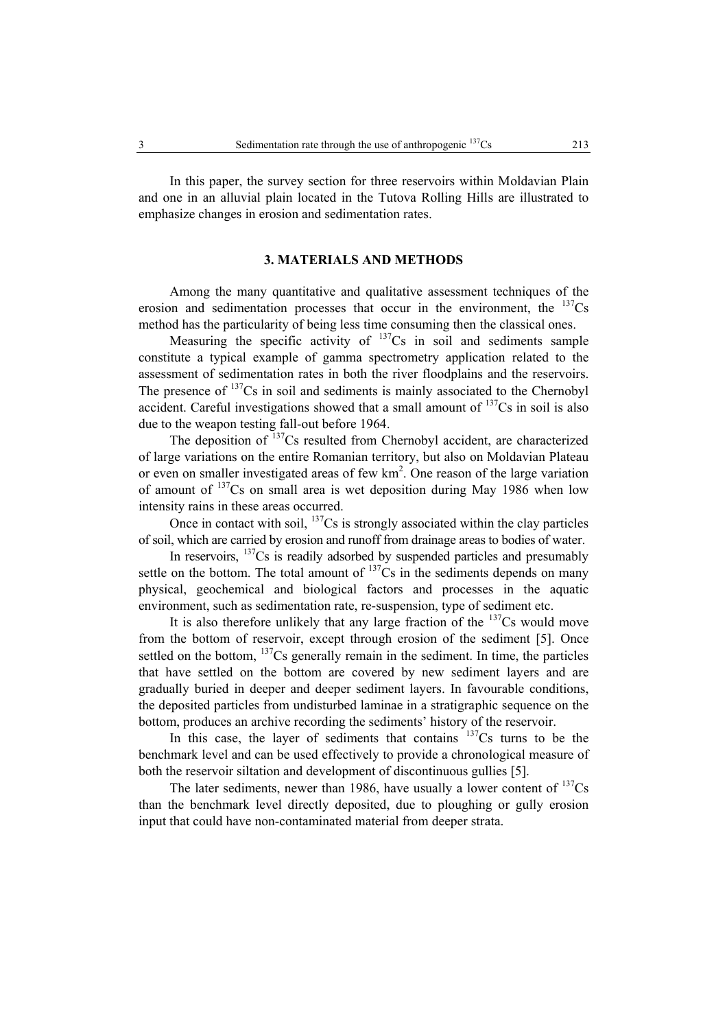In this paper, the survey section for three reservoirs within Moldavian Plain and one in an alluvial plain located in the Tutova Rolling Hills are illustrated to emphasize changes in erosion and sedimentation rates.

### **3. MATERIALS AND METHODS**

Among the many quantitative and qualitative assessment techniques of the erosion and sedimentation processes that occur in the environment, the  $^{137}Cs$ method has the particularity of being less time consuming then the classical ones.

Measuring the specific activity of  $137Cs$  in soil and sediments sample constitute a typical example of gamma spectrometry application related to the assessment of sedimentation rates in both the river floodplains and the reservoirs. The presence of  $137Cs$  in soil and sediments is mainly associated to the Chernobyl accident. Careful investigations showed that a small amount of  $137Cs$  in soil is also due to the weapon testing fall-out before 1964.

The deposition of <sup>137</sup>Cs resulted from Chernobyl accident, are characterized of large variations on the entire Romanian territory, but also on Moldavian Plateau or even on smaller investigated areas of few  $km<sup>2</sup>$ . One reason of the large variation of amount of <sup>137</sup>Cs on small area is wet deposition during May 1986 when low intensity rains in these areas occurred.

Once in contact with soil,  $137Cs$  is strongly associated within the clay particles of soil, which are carried by erosion and runoff from drainage areas to bodies of water.

In reservoirs,  $137Cs$  is readily adsorbed by suspended particles and presumably settle on the bottom. The total amount of  $137Cs$  in the sediments depends on many physical, geochemical and biological factors and processes in the aquatic environment, such as sedimentation rate, re-suspension, type of sediment etc.

It is also therefore unlikely that any large fraction of the  $137Cs$  would move from the bottom of reservoir, except through erosion of the sediment [5]. Once settled on the bottom,  $137Cs$  generally remain in the sediment. In time, the particles that have settled on the bottom are covered by new sediment layers and are gradually buried in deeper and deeper sediment layers. In favourable conditions, the deposited particles from undisturbed laminae in a stratigraphic sequence on the bottom, produces an archive recording the sediments' history of the reservoir.

In this case, the layer of sediments that contains  $137Cs$  turns to be the benchmark level and can be used effectively to provide a chronological measure of both the reservoir siltation and development of discontinuous gullies [5].

The later sediments, newer than 1986, have usually a lower content of  $\frac{137}{s}$ Cs than the benchmark level directly deposited, due to ploughing or gully erosion input that could have non-contaminated material from deeper strata.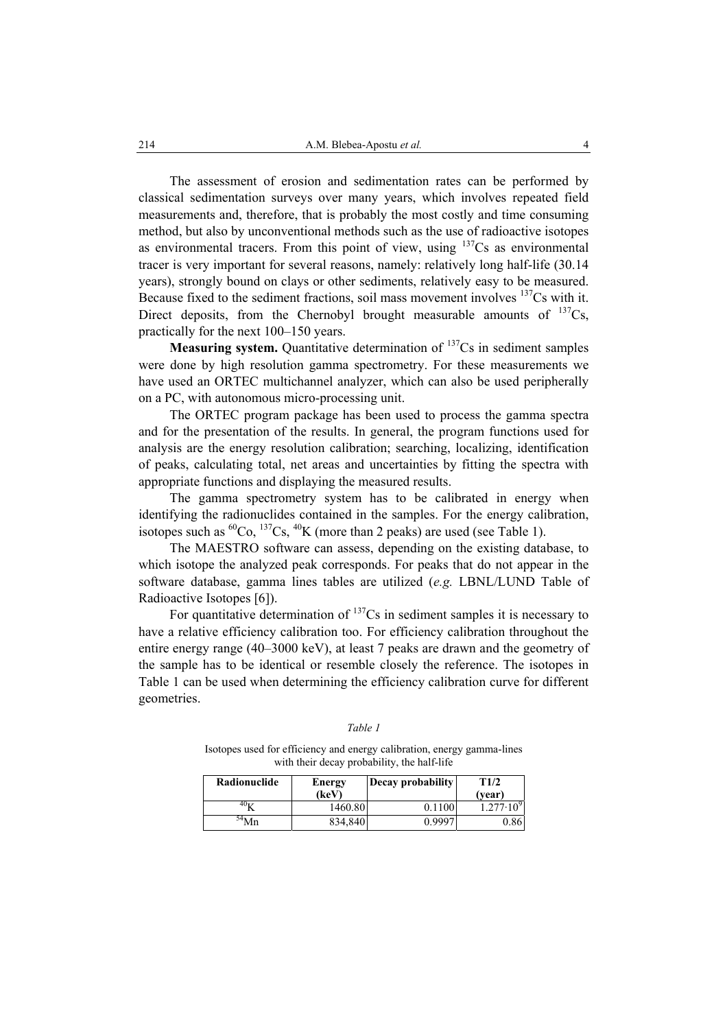The assessment of erosion and sedimentation rates can be performed by classical sedimentation surveys over many years, which involves repeated field measurements and, therefore, that is probably the most costly and time consuming method, but also by unconventional methods such as the use of radioactive isotopes as environmental tracers. From this point of view, using  $137Cs$  as environmental tracer is very important for several reasons, namely: relatively long half-life (30.14 years), strongly bound on clays or other sediments, relatively easy to be measured. Because fixed to the sediment fractions, soil mass movement involves  $137Cs$  with it. Direct deposits, from the Chernobyl brought measurable amounts of  $^{137}Cs$ , practically for the next 100–150 years.

**Measuring system.** Quantitative determination of <sup>137</sup>Cs in sediment samples were done by high resolution gamma spectrometry. For these measurements we have used an ORTEC multichannel analyzer, which can also be used peripherally on a PC, with autonomous micro-processing unit.

The ORTEC program package has been used to process the gamma spectra and for the presentation of the results. In general, the program functions used for analysis are the energy resolution calibration; searching, localizing, identification of peaks, calculating total, net areas and uncertainties by fitting the spectra with appropriate functions and displaying the measured results.

The gamma spectrometry system has to be calibrated in energy when identifying the radionuclides contained in the samples. For the energy calibration, isotopes such as  ${}^{60}Co$ ,  ${}^{137}Cs$ ,  ${}^{40}K$  (more than 2 peaks) are used (see Table 1).

The MAESTRO software can assess, depending on the existing database, to which isotope the analyzed peak corresponds. For peaks that do not appear in the software database, gamma lines tables are utilized (*e.g.* LBNL/LUND Table of Radioactive Isotopes [6]).

For quantitative determination of <sup>137</sup>Cs in sediment samples it is necessary to have a relative efficiency calibration too. For efficiency calibration throughout the entire energy range (40–3000 keV), at least 7 peaks are drawn and the geometry of the sample has to be identical or resemble closely the reference. The isotopes in Table 1 can be used when determining the efficiency calibration curve for different geometries.

| Radionuclide | Energy<br>(keV) | Decay probability | T1/2<br>(vear)       |
|--------------|-----------------|-------------------|----------------------|
|              | 1460.80         | 0.1100            | $1.277 \cdot 10^{9}$ |
|              | 834,840         | 0.9997            | .861                 |

| I |  |
|---|--|
|---|--|

Isotopes used for efficiency and energy calibration, energy gamma-lines

with their decay probability, the half-life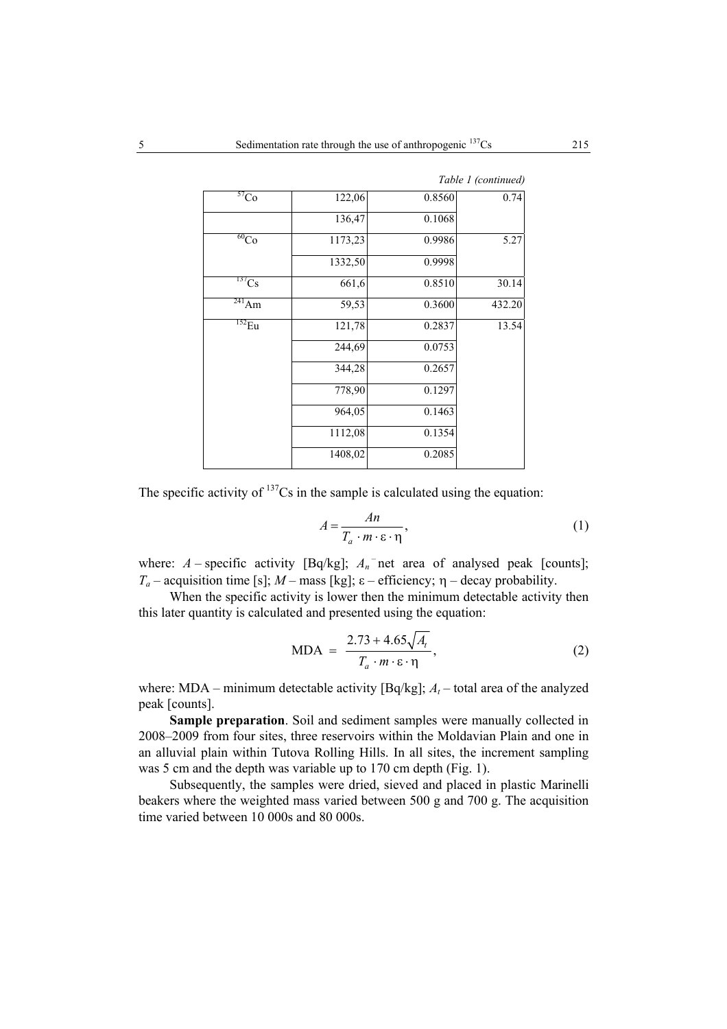| 57 <sub>Co</sub>     | 122,06  | 0.8560 | 0.74   |
|----------------------|---------|--------|--------|
|                      | 136,47  | 0.1068 |        |
| $\overline{^{60}Co}$ | 1173,23 | 0.9986 | 5.27   |
|                      | 1332,50 | 0.9998 |        |
| $^{137}Cs$           | 661,6   | 0.8510 | 30.14  |
| $^{241}$ Am          | 59,53   | 0.3600 | 432.20 |
| $^{152}$ Eu          | 121,78  | 0.2837 | 13.54  |
|                      | 244,69  | 0.0753 |        |
|                      | 344,28  | 0.2657 |        |
|                      | 778,90  | 0.1297 |        |
|                      | 964,05  | 0.1463 |        |
|                      | 1112,08 | 0.1354 |        |
|                      | 1408,02 | 0.2085 |        |

 *Table 1 (continued)*

The specific activity of  $137Cs$  in the sample is calculated using the equation:

$$
A = \frac{An}{T_a \cdot m \cdot \varepsilon \cdot \eta},\tag{1}
$$

where:  $A$  – specific activity [Bq/kg];  $A_n$ <sup>-</sup>net area of analysed peak [counts]; *T<sub>a</sub>* – acquisition time [s]; *M* – mass [kg]; ε – efficiency; η – decay probability.

When the specific activity is lower then the minimum detectable activity then this later quantity is calculated and presented using the equation:

$$
MDA = \frac{2.73 + 4.65\sqrt{A_t}}{T_a \cdot m \cdot \varepsilon \cdot \eta},
$$
 (2)

where: MDA – minimum detectable activity [Bq/kg];  $A_t$  – total area of the analyzed peak [counts].

**Sample preparation**. Soil and sediment samples were manually collected in 2008–2009 from four sites, three reservoirs within the Moldavian Plain and one in an alluvial plain within Tutova Rolling Hills. In all sites, the increment sampling was 5 cm and the depth was variable up to 170 cm depth (Fig. 1).

Subsequently, the samples were dried, sieved and placed in plastic Marinelli beakers where the weighted mass varied between 500 g and 700 g. The acquisition time varied between 10 000s and 80 000s.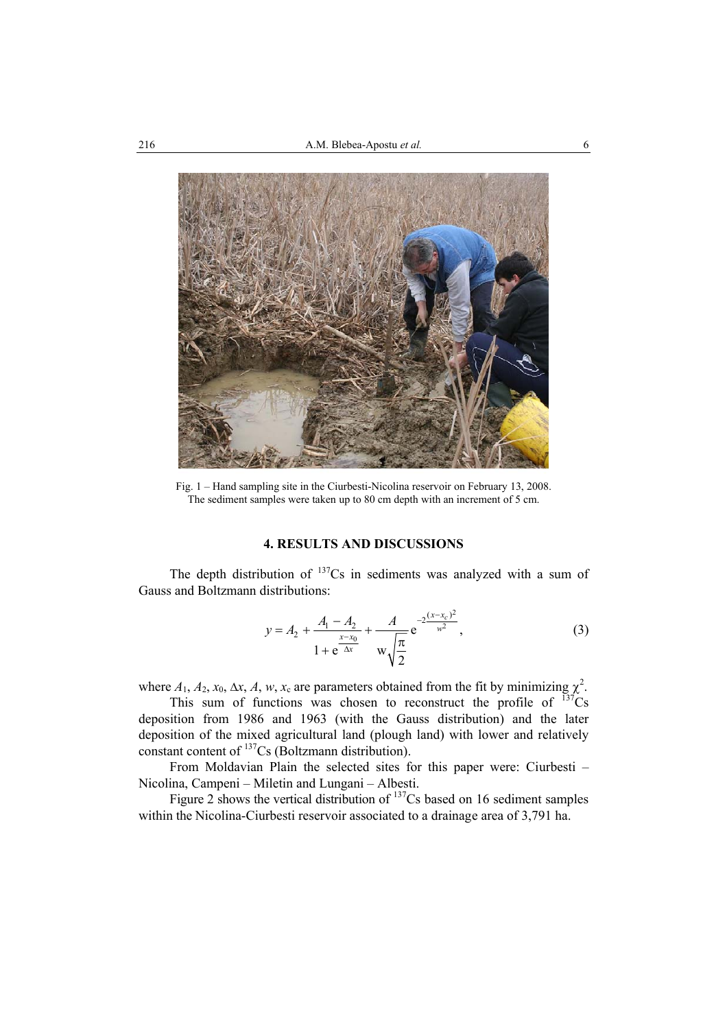

Fig. 1 – Hand sampling site in the Ciurbesti-Nicolina reservoir on February 13, 2008. The sediment samples were taken up to 80 cm depth with an increment of 5 cm.

# **4. RESULTS AND DISCUSSIONS**

The depth distribution of  $137Cs$  in sediments was analyzed with a sum of Gauss and Boltzmann distributions:

$$
y = A_2 + \frac{A_1 - A_2}{1 + e^{\frac{x - x_0}{\Delta x}}} + \frac{A}{w \sqrt{\frac{\pi}{2}}} e^{-2\frac{(x - x_c)^2}{w^2}},
$$
\n(3)

where  $A_1$ ,  $A_2$ ,  $x_0$ ,  $\Delta x$ ,  $A$ ,  $w$ ,  $x_c$  are parameters obtained from the fit by minimizing  $\chi^2$ .

This sum of functions was chosen to reconstruct the profile of  $137\text{Cs}$ deposition from 1986 and 1963 (with the Gauss distribution) and the later deposition of the mixed agricultural land (plough land) with lower and relatively constant content of <sup>137</sup>Cs (Boltzmann distribution).

From Moldavian Plain the selected sites for this paper were: Ciurbesti – Nicolina, Campeni – Miletin and Lungani – Albesti.

Figure 2 shows the vertical distribution of  $137Cs$  based on 16 sediment samples within the Nicolina-Ciurbesti reservoir associated to a drainage area of 3,791 ha.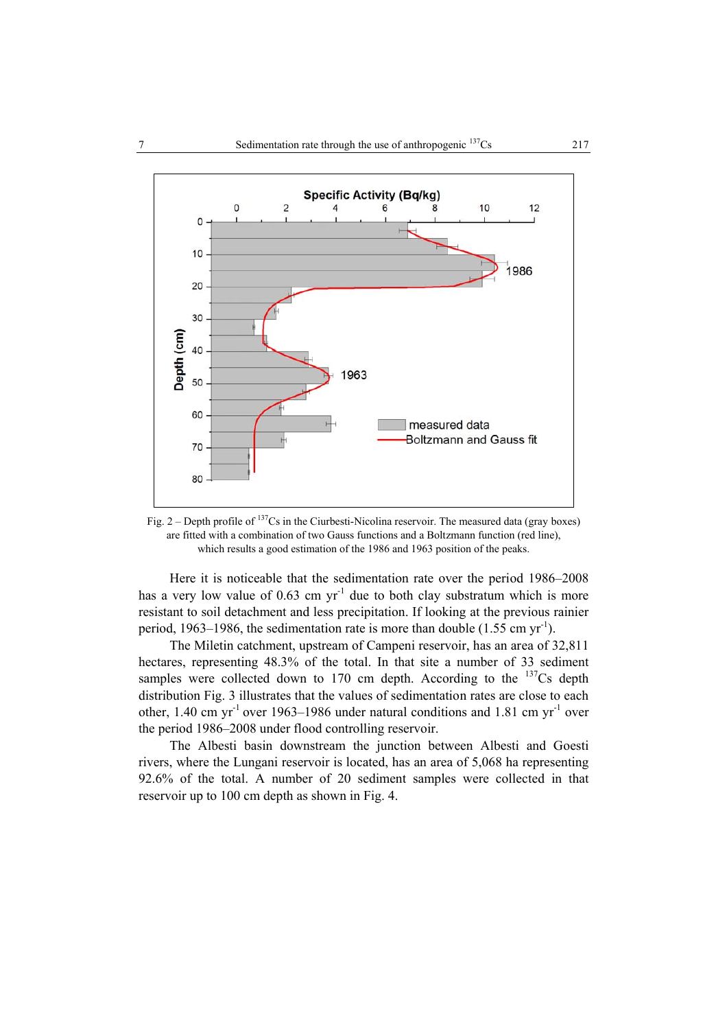

Fig. 2 – Depth profile of  $137$ Cs in the Ciurbesti-Nicolina reservoir. The measured data (gray boxes) are fitted with a combination of two Gauss functions and a Boltzmann function (red line), which results a good estimation of the 1986 and 1963 position of the peaks.

Here it is noticeable that the sedimentation rate over the period 1986–2008 has a very low value of  $0.63$  cm yr<sup>-1</sup> due to both clay substratum which is more resistant to soil detachment and less precipitation. If looking at the previous rainier period, 1963–1986, the sedimentation rate is more than double  $(1.55 \text{ cm yr}^{-1})$ .

The Miletin catchment, upstream of Campeni reservoir, has an area of 32,811 hectares, representing 48.3% of the total. In that site a number of 33 sediment samples were collected down to 170 cm depth. According to the  $137Cs$  depth distribution Fig. 3 illustrates that the values of sedimentation rates are close to each other,  $1.40 \text{ cm yr}^{-1}$  over  $1963-1986$  under natural conditions and  $1.81 \text{ cm yr}^{-1}$  over the period 1986–2008 under flood controlling reservoir.

The Albesti basin downstream the junction between Albesti and Goesti rivers, where the Lungani reservoir is located, has an area of 5,068 ha representing 92.6% of the total. A number of 20 sediment samples were collected in that reservoir up to 100 cm depth as shown in Fig. 4.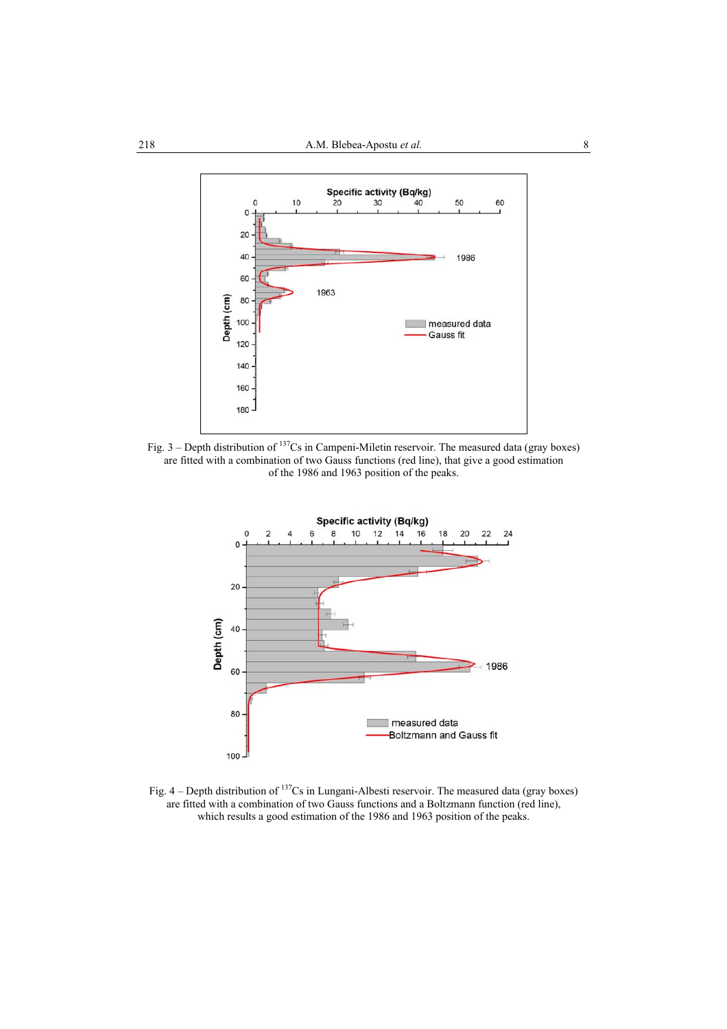

Fig.  $3$  – Depth distribution of  $137$ Cs in Campeni-Miletin reservoir. The measured data (gray boxes) are fitted with a combination of two Gauss functions (red line), that give a good estimation of the 1986 and 1963 position of the peaks.



Fig. 4 – Depth distribution of <sup>137</sup>Cs in Lungani-Albesti reservoir. The measured data (gray boxes) are fitted with a combination of two Gauss functions and a Boltzmann function (red line), which results a good estimation of the 1986 and 1963 position of the peaks.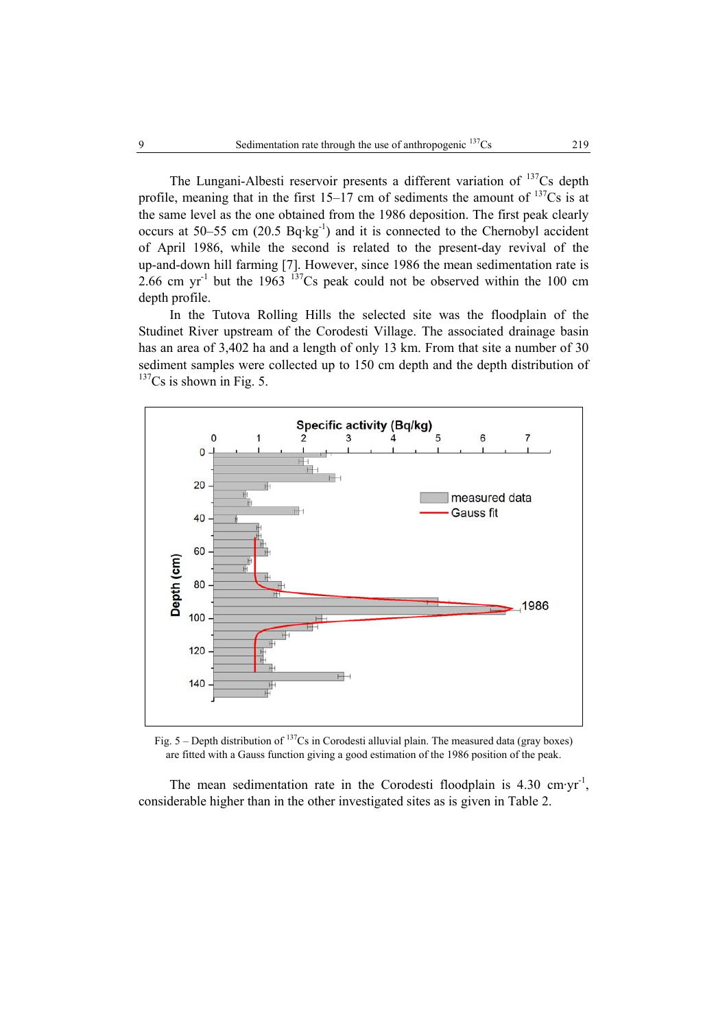The Lungani-Albesti reservoir presents a different variation of  $137Cs$  depth profile, meaning that in the first  $15-17$  cm of sediments the amount of  $137Cs$  is at the same level as the one obtained from the 1986 deposition. The first peak clearly occurs at 50–55 cm  $(20.5 \text{ Bq·kg}^{-1})$  and it is connected to the Chernobyl accident of April 1986, while the second is related to the present-day revival of the up-and-down hill farming [7]. However, since 1986 the mean sedimentation rate is 2.66 cm yr<sup>-1</sup> but the 1963  $137$ Cs peak could not be observed within the 100 cm depth profile.

In the Tutova Rolling Hills the selected site was the floodplain of the Studinet River upstream of the Corodesti Village. The associated drainage basin has an area of 3,402 ha and a length of only 13 km. From that site a number of 30 sediment samples were collected up to 150 cm depth and the depth distribution of  $137Cs$  is shown in Fig. 5.



Fig.  $5$  – Depth distribution of <sup>137</sup>Cs in Corodesti alluvial plain. The measured data (gray boxes) are fitted with a Gauss function giving a good estimation of the 1986 position of the peak.

The mean sedimentation rate in the Corodesti floodplain is  $4.30 \, \text{cm·yr}^{-1}$ . considerable higher than in the other investigated sites as is given in Table 2.